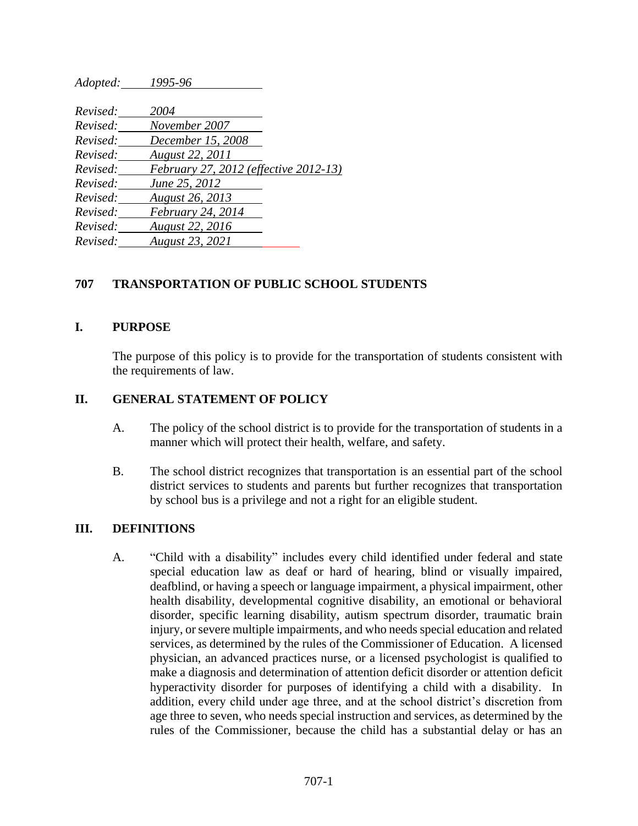*Adopted: 1995-96*

| Revised: | 2004                                  |  |
|----------|---------------------------------------|--|
| Revised: | November 2007                         |  |
| Revised: | December 15, 2008                     |  |
| Revised: | August 22, 2011                       |  |
| Revised: | February 27, 2012 (effective 2012-13) |  |
| Revised: | June 25, 2012                         |  |
| Revised: | August 26, 2013                       |  |
| Revised: | February 24, 2014                     |  |
| Revised: | <b>August 22, 2016</b>                |  |
| Revised: | <b>August 23, 2021</b>                |  |
|          |                                       |  |

## **707 TRANSPORTATION OF PUBLIC SCHOOL STUDENTS**

#### **I. PURPOSE**

The purpose of this policy is to provide for the transportation of students consistent with the requirements of law.

### **II. GENERAL STATEMENT OF POLICY**

- A. The policy of the school district is to provide for the transportation of students in a manner which will protect their health, welfare, and safety.
- B. The school district recognizes that transportation is an essential part of the school district services to students and parents but further recognizes that transportation by school bus is a privilege and not a right for an eligible student.

### **III. DEFINITIONS**

A. "Child with a disability" includes every child identified under federal and state special education law as deaf or hard of hearing, blind or visually impaired, deafblind, or having a speech or language impairment, a physical impairment, other health disability, developmental cognitive disability, an emotional or behavioral disorder, specific learning disability, autism spectrum disorder, traumatic brain injury, or severe multiple impairments, and who needs special education and related services, as determined by the rules of the Commissioner of Education. A licensed physician, an advanced practices nurse, or a licensed psychologist is qualified to make a diagnosis and determination of attention deficit disorder or attention deficit hyperactivity disorder for purposes of identifying a child with a disability. In addition, every child under age three, and at the school district's discretion from age three to seven, who needs special instruction and services, as determined by the rules of the Commissioner, because the child has a substantial delay or has an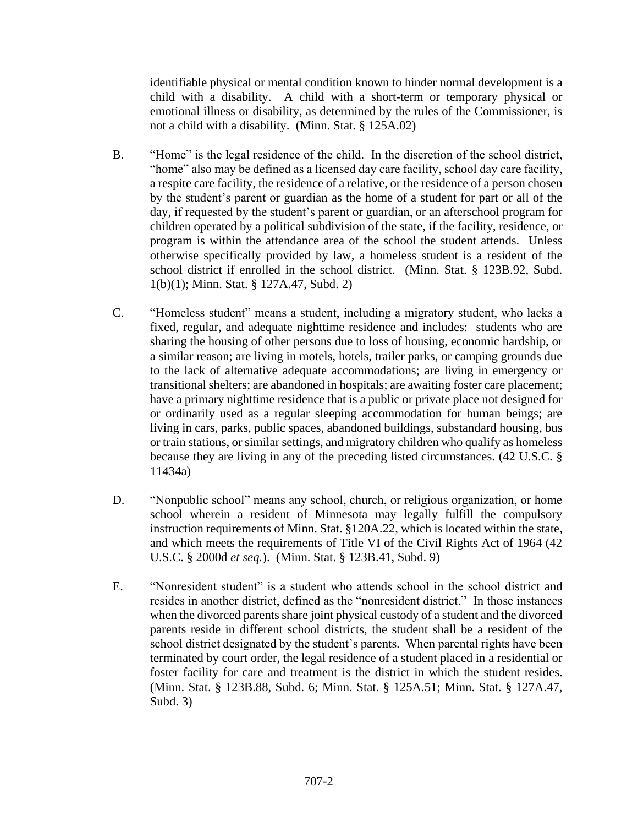identifiable physical or mental condition known to hinder normal development is a child with a disability. A child with a short-term or temporary physical or emotional illness or disability, as determined by the rules of the Commissioner, is not a child with a disability. (Minn. Stat. § 125A.02)

- B. "Home" is the legal residence of the child. In the discretion of the school district, "home" also may be defined as a licensed day care facility, school day care facility, a respite care facility, the residence of a relative, or the residence of a person chosen by the student's parent or guardian as the home of a student for part or all of the day, if requested by the student's parent or guardian, or an afterschool program for children operated by a political subdivision of the state, if the facility, residence, or program is within the attendance area of the school the student attends. Unless otherwise specifically provided by law, a homeless student is a resident of the school district if enrolled in the school district. (Minn. Stat. § 123B.92, Subd. 1(b)(1); Minn. Stat. § 127A.47, Subd. 2)
- C. "Homeless student" means a student, including a migratory student, who lacks a fixed, regular, and adequate nighttime residence and includes: students who are sharing the housing of other persons due to loss of housing, economic hardship, or a similar reason; are living in motels, hotels, trailer parks, or camping grounds due to the lack of alternative adequate accommodations; are living in emergency or transitional shelters; are abandoned in hospitals; are awaiting foster care placement; have a primary nighttime residence that is a public or private place not designed for or ordinarily used as a regular sleeping accommodation for human beings; are living in cars, parks, public spaces, abandoned buildings, substandard housing, bus or train stations, or similar settings, and migratory children who qualify as homeless because they are living in any of the preceding listed circumstances. (42 U.S.C. § 11434a)
- D. "Nonpublic school" means any school, church, or religious organization, or home school wherein a resident of Minnesota may legally fulfill the compulsory instruction requirements of Minn. Stat. §120A.22, which is located within the state, and which meets the requirements of Title VI of the Civil Rights Act of 1964 (42 U.S.C. § 2000d *et seq.*). (Minn. Stat. § 123B.41, Subd. 9)
- E. "Nonresident student" is a student who attends school in the school district and resides in another district, defined as the "nonresident district." In those instances when the divorced parents share joint physical custody of a student and the divorced parents reside in different school districts, the student shall be a resident of the school district designated by the student's parents. When parental rights have been terminated by court order, the legal residence of a student placed in a residential or foster facility for care and treatment is the district in which the student resides. (Minn. Stat. § 123B.88, Subd. 6; Minn. Stat. § 125A.51; Minn. Stat. § 127A.47, Subd. 3)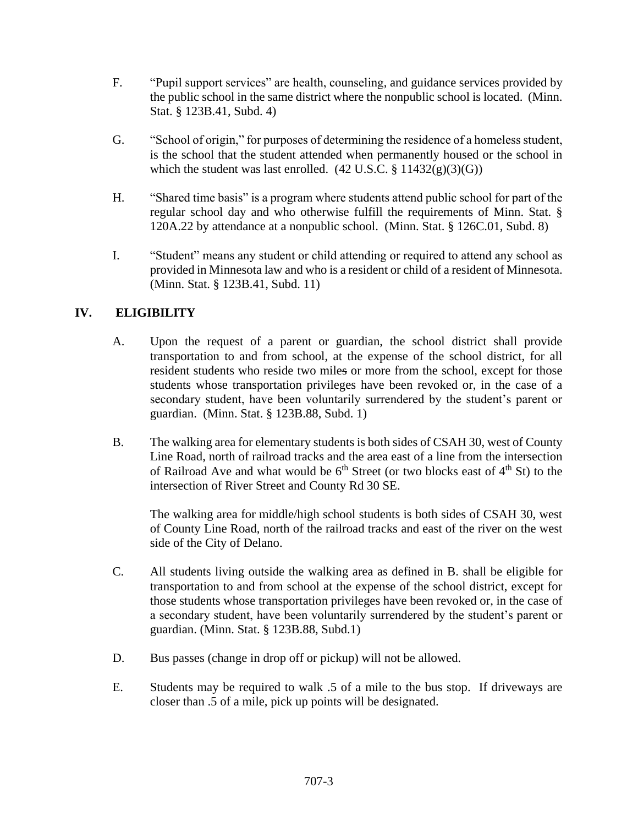- F. "Pupil support services" are health, counseling, and guidance services provided by the public school in the same district where the nonpublic school is located. (Minn. Stat. § 123B.41, Subd. 4)
- G. "School of origin," for purposes of determining the residence of a homeless student, is the school that the student attended when permanently housed or the school in which the student was last enrolled.  $(42 \text{ U.S.C.} \frac{8}{3} \frac{11432(g)(3)(G)}{G})$
- H. "Shared time basis" is a program where students attend public school for part of the regular school day and who otherwise fulfill the requirements of Minn. Stat. § 120A.22 by attendance at a nonpublic school. (Minn. Stat. § 126C.01, Subd. 8)
- I. "Student" means any student or child attending or required to attend any school as provided in Minnesota law and who is a resident or child of a resident of Minnesota. (Minn. Stat. § 123B.41, Subd. 11)

# **IV. ELIGIBILITY**

- A. Upon the request of a parent or guardian, the school district shall provide transportation to and from school, at the expense of the school district, for all resident students who reside two miles or more from the school, except for those students whose transportation privileges have been revoked or, in the case of a secondary student, have been voluntarily surrendered by the student's parent or guardian. (Minn. Stat. § 123B.88, Subd. 1)
- B. The walking area for elementary students is both sides of CSAH 30, west of County Line Road, north of railroad tracks and the area east of a line from the intersection of Railroad Ave and what would be  $6<sup>th</sup>$  Street (or two blocks east of  $4<sup>th</sup>$  St) to the intersection of River Street and County Rd 30 SE.

The walking area for middle/high school students is both sides of CSAH 30, west of County Line Road, north of the railroad tracks and east of the river on the west side of the City of Delano.

- C. All students living outside the walking area as defined in B. shall be eligible for transportation to and from school at the expense of the school district, except for those students whose transportation privileges have been revoked or, in the case of a secondary student, have been voluntarily surrendered by the student's parent or guardian. (Minn. Stat. § 123B.88, Subd.1)
- D. Bus passes (change in drop off or pickup) will not be allowed.
- E. Students may be required to walk .5 of a mile to the bus stop. If driveways are closer than .5 of a mile, pick up points will be designated.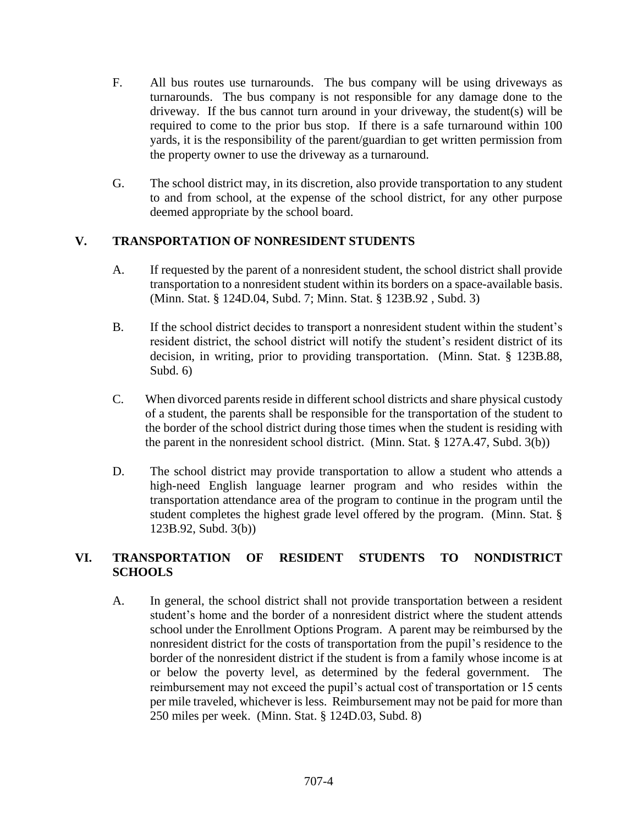- F. All bus routes use turnarounds. The bus company will be using driveways as turnarounds. The bus company is not responsible for any damage done to the driveway. If the bus cannot turn around in your driveway, the student(s) will be required to come to the prior bus stop. If there is a safe turnaround within 100 yards, it is the responsibility of the parent/guardian to get written permission from the property owner to use the driveway as a turnaround.
- G. The school district may, in its discretion, also provide transportation to any student to and from school, at the expense of the school district, for any other purpose deemed appropriate by the school board.

# **V. TRANSPORTATION OF NONRESIDENT STUDENTS**

- A. If requested by the parent of a nonresident student, the school district shall provide transportation to a nonresident student within its borders on a space-available basis. (Minn. Stat. § 124D.04, Subd. 7; Minn. Stat. § 123B.92 , Subd. 3)
- B. If the school district decides to transport a nonresident student within the student's resident district, the school district will notify the student's resident district of its decision, in writing, prior to providing transportation. (Minn. Stat. § 123B.88, Subd. 6)
- C. When divorced parents reside in different school districts and share physical custody of a student, the parents shall be responsible for the transportation of the student to the border of the school district during those times when the student is residing with the parent in the nonresident school district. (Minn. Stat. § 127A.47, Subd. 3(b))
- D. The school district may provide transportation to allow a student who attends a high-need English language learner program and who resides within the transportation attendance area of the program to continue in the program until the student completes the highest grade level offered by the program. (Minn. Stat. § 123B.92, Subd. 3(b))

# **VI. TRANSPORTATION OF RESIDENT STUDENTS TO NONDISTRICT SCHOOLS**

A. In general, the school district shall not provide transportation between a resident student's home and the border of a nonresident district where the student attends school under the Enrollment Options Program. A parent may be reimbursed by the nonresident district for the costs of transportation from the pupil's residence to the border of the nonresident district if the student is from a family whose income is at or below the poverty level, as determined by the federal government. The reimbursement may not exceed the pupil's actual cost of transportation or 15 cents per mile traveled, whichever is less. Reimbursement may not be paid for more than 250 miles per week. (Minn. Stat. § 124D.03, Subd. 8)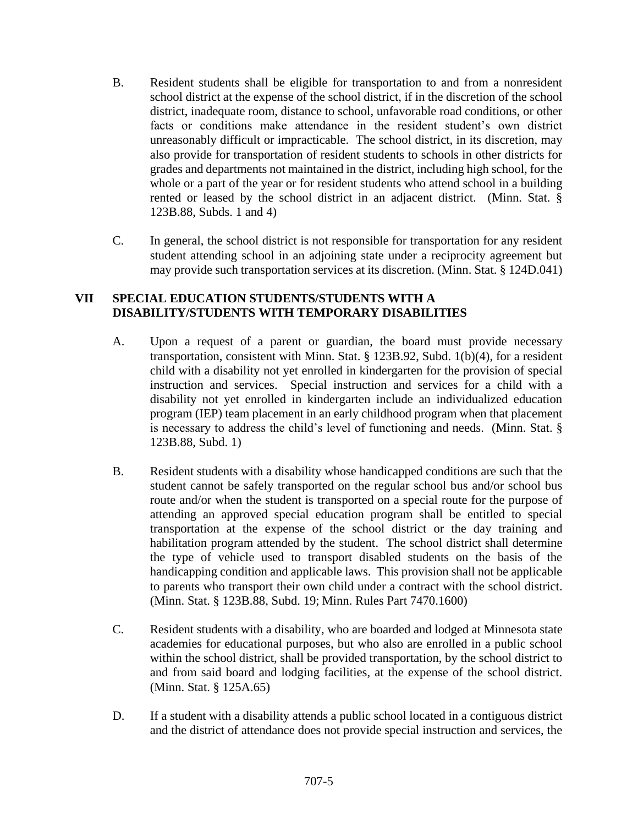- B. Resident students shall be eligible for transportation to and from a nonresident school district at the expense of the school district, if in the discretion of the school district, inadequate room, distance to school, unfavorable road conditions, or other facts or conditions make attendance in the resident student's own district unreasonably difficult or impracticable. The school district, in its discretion, may also provide for transportation of resident students to schools in other districts for grades and departments not maintained in the district, including high school, for the whole or a part of the year or for resident students who attend school in a building rented or leased by the school district in an adjacent district. (Minn. Stat. § 123B.88, Subds. 1 and 4)
- C. In general, the school district is not responsible for transportation for any resident student attending school in an adjoining state under a reciprocity agreement but may provide such transportation services at its discretion. (Minn. Stat. § 124D.041)

### **VII SPECIAL EDUCATION STUDENTS/STUDENTS WITH A DISABILITY/STUDENTS WITH TEMPORARY DISABILITIES**

- A. Upon a request of a parent or guardian, the board must provide necessary transportation, consistent with Minn. Stat. § 123B.92, Subd. 1(b)(4), for a resident child with a disability not yet enrolled in kindergarten for the provision of special instruction and services. Special instruction and services for a child with a disability not yet enrolled in kindergarten include an individualized education program (IEP) team placement in an early childhood program when that placement is necessary to address the child's level of functioning and needs. (Minn. Stat. § 123B.88, Subd. 1)
- B. Resident students with a disability whose handicapped conditions are such that the student cannot be safely transported on the regular school bus and/or school bus route and/or when the student is transported on a special route for the purpose of attending an approved special education program shall be entitled to special transportation at the expense of the school district or the day training and habilitation program attended by the student. The school district shall determine the type of vehicle used to transport disabled students on the basis of the handicapping condition and applicable laws. This provision shall not be applicable to parents who transport their own child under a contract with the school district. (Minn. Stat. § 123B.88, Subd. 19; Minn. Rules Part 7470.1600)
- C. Resident students with a disability, who are boarded and lodged at Minnesota state academies for educational purposes, but who also are enrolled in a public school within the school district, shall be provided transportation, by the school district to and from said board and lodging facilities, at the expense of the school district. (Minn. Stat. § 125A.65)
- D. If a student with a disability attends a public school located in a contiguous district and the district of attendance does not provide special instruction and services, the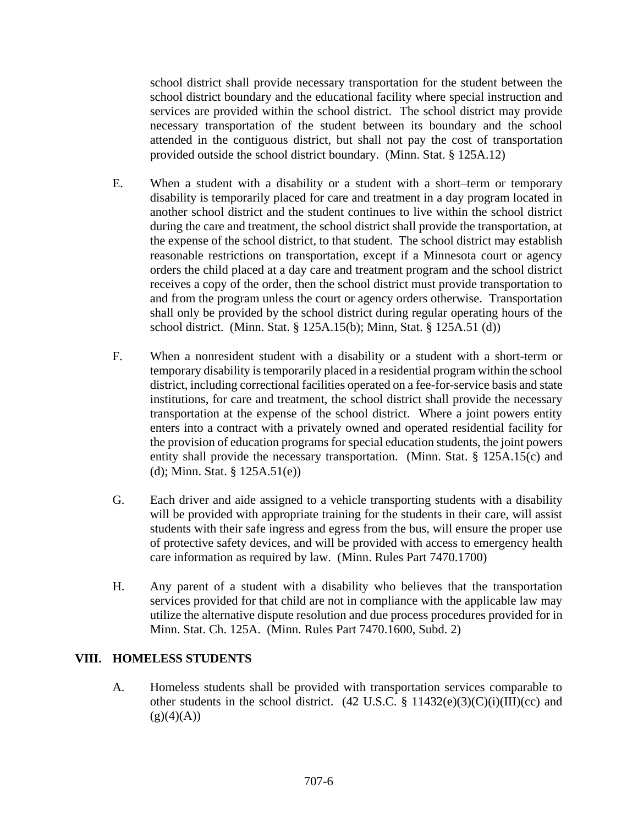school district shall provide necessary transportation for the student between the school district boundary and the educational facility where special instruction and services are provided within the school district. The school district may provide necessary transportation of the student between its boundary and the school attended in the contiguous district, but shall not pay the cost of transportation provided outside the school district boundary. (Minn. Stat. § 125A.12)

- E. When a student with a disability or a student with a short–term or temporary disability is temporarily placed for care and treatment in a day program located in another school district and the student continues to live within the school district during the care and treatment, the school district shall provide the transportation, at the expense of the school district, to that student. The school district may establish reasonable restrictions on transportation, except if a Minnesota court or agency orders the child placed at a day care and treatment program and the school district receives a copy of the order, then the school district must provide transportation to and from the program unless the court or agency orders otherwise. Transportation shall only be provided by the school district during regular operating hours of the school district. (Minn. Stat. § 125A.15(b); Minn, Stat. § 125A.51 (d))
- F. When a nonresident student with a disability or a student with a short-term or temporary disability is temporarily placed in a residential program within the school district, including correctional facilities operated on a fee-for-service basis and state institutions, for care and treatment, the school district shall provide the necessary transportation at the expense of the school district. Where a joint powers entity enters into a contract with a privately owned and operated residential facility for the provision of education programs for special education students, the joint powers entity shall provide the necessary transportation. (Minn. Stat. § 125A.15(c) and (d); Minn. Stat. § 125A.51(e))
- G. Each driver and aide assigned to a vehicle transporting students with a disability will be provided with appropriate training for the students in their care, will assist students with their safe ingress and egress from the bus, will ensure the proper use of protective safety devices, and will be provided with access to emergency health care information as required by law. (Minn. Rules Part 7470.1700)
- H. Any parent of a student with a disability who believes that the transportation services provided for that child are not in compliance with the applicable law may utilize the alternative dispute resolution and due process procedures provided for in Minn. Stat. Ch. 125A. (Minn. Rules Part 7470.1600, Subd. 2)

## **VIII. HOMELESS STUDENTS**

A. Homeless students shall be provided with transportation services comparable to other students in the school district.  $(42 \text{ U.S.C. } §\ 11432(e)(3)(C)(i)(III)(cc)$  and  $(g)(4)(A))$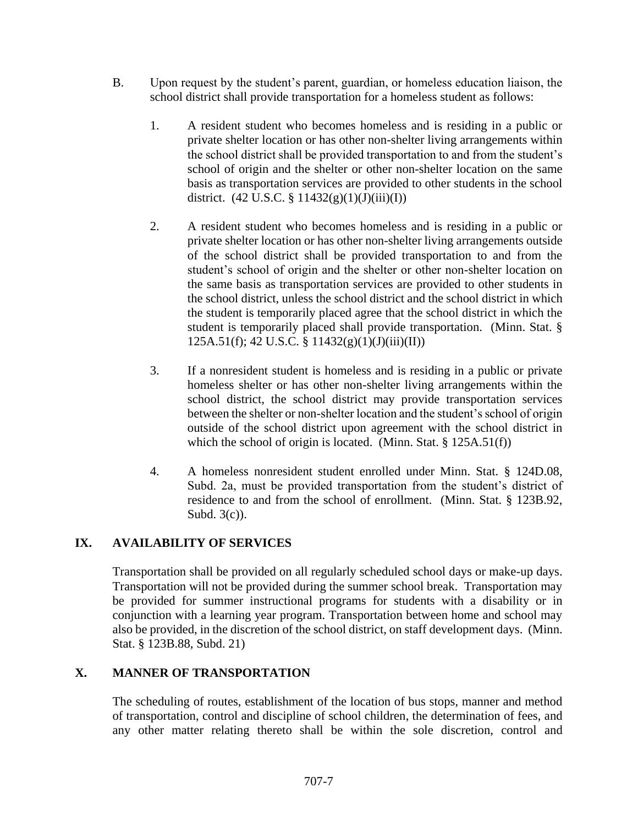- B. Upon request by the student's parent, guardian, or homeless education liaison, the school district shall provide transportation for a homeless student as follows:
	- 1. A resident student who becomes homeless and is residing in a public or private shelter location or has other non-shelter living arrangements within the school district shall be provided transportation to and from the student's school of origin and the shelter or other non-shelter location on the same basis as transportation services are provided to other students in the school district.  $(42 \text{ U.S.C.} \frac{6}{7} 11432(g)(1)(J)(iii)(I))$
	- 2. A resident student who becomes homeless and is residing in a public or private shelter location or has other non-shelter living arrangements outside of the school district shall be provided transportation to and from the student's school of origin and the shelter or other non-shelter location on the same basis as transportation services are provided to other students in the school district, unless the school district and the school district in which the student is temporarily placed agree that the school district in which the student is temporarily placed shall provide transportation. (Minn. Stat. § 125A.51(f); 42 U.S.C. § 11432(g)(1)(J)(iii)(II))
	- 3. If a nonresident student is homeless and is residing in a public or private homeless shelter or has other non-shelter living arrangements within the school district, the school district may provide transportation services between the shelter or non-shelter location and the student's school of origin outside of the school district upon agreement with the school district in which the school of origin is located. (Minn. Stat. § 125A.51(f))
	- 4. A homeless nonresident student enrolled under Minn. Stat. § 124D.08, Subd. 2a, must be provided transportation from the student's district of residence to and from the school of enrollment. (Minn. Stat. § 123B.92, Subd. 3(c)).

## **IX. AVAILABILITY OF SERVICES**

Transportation shall be provided on all regularly scheduled school days or make-up days. Transportation will not be provided during the summer school break. Transportation may be provided for summer instructional programs for students with a disability or in conjunction with a learning year program. Transportation between home and school may also be provided, in the discretion of the school district, on staff development days. (Minn. Stat. § 123B.88, Subd. 21)

## **X. MANNER OF TRANSPORTATION**

The scheduling of routes, establishment of the location of bus stops, manner and method of transportation, control and discipline of school children, the determination of fees, and any other matter relating thereto shall be within the sole discretion, control and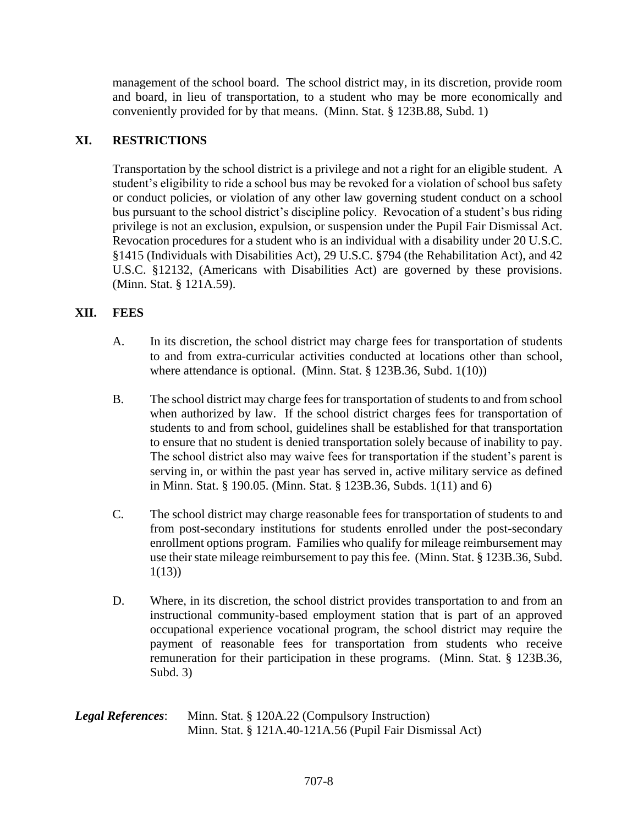management of the school board. The school district may, in its discretion, provide room and board, in lieu of transportation, to a student who may be more economically and conveniently provided for by that means. (Minn. Stat. § 123B.88, Subd. 1)

# **XI. RESTRICTIONS**

Transportation by the school district is a privilege and not a right for an eligible student. A student's eligibility to ride a school bus may be revoked for a violation of school bus safety or conduct policies, or violation of any other law governing student conduct on a school bus pursuant to the school district's discipline policy. Revocation of a student's bus riding privilege is not an exclusion, expulsion, or suspension under the Pupil Fair Dismissal Act. Revocation procedures for a student who is an individual with a disability under 20 U.S.C. §1415 (Individuals with Disabilities Act), 29 U.S.C. §794 (the Rehabilitation Act), and 42 U.S.C. §12132, (Americans with Disabilities Act) are governed by these provisions. (Minn. Stat. § 121A.59).

# **XII. FEES**

- A. In its discretion, the school district may charge fees for transportation of students to and from extra-curricular activities conducted at locations other than school, where attendance is optional. (Minn. Stat. § 123B.36, Subd. 1(10))
- B. The school district may charge fees for transportation of students to and from school when authorized by law. If the school district charges fees for transportation of students to and from school, guidelines shall be established for that transportation to ensure that no student is denied transportation solely because of inability to pay. The school district also may waive fees for transportation if the student's parent is serving in, or within the past year has served in, active military service as defined in Minn. Stat. § 190.05. (Minn. Stat. § 123B.36, Subds. 1(11) and 6)
- C. The school district may charge reasonable fees for transportation of students to and from post-secondary institutions for students enrolled under the post-secondary enrollment options program. Families who qualify for mileage reimbursement may use their state mileage reimbursement to pay this fee. (Minn. Stat. § 123B.36, Subd.  $1(13)$
- D. Where, in its discretion, the school district provides transportation to and from an instructional community-based employment station that is part of an approved occupational experience vocational program, the school district may require the payment of reasonable fees for transportation from students who receive remuneration for their participation in these programs. (Minn. Stat. § 123B.36, Subd. 3)

| <b>Legal References:</b> | Minn. Stat. § 120A.22 (Compulsory Instruction)           |
|--------------------------|----------------------------------------------------------|
|                          | Minn. Stat. § 121A.40-121A.56 (Pupil Fair Dismissal Act) |